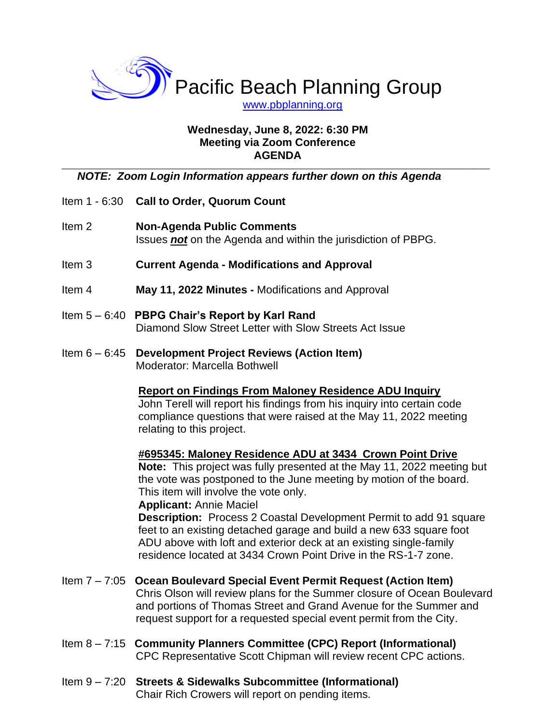

# **Wednesday, June 8, 2022: 6:30 PM Meeting via Zoom Conference AGENDA**

#### **\_\_\_\_\_\_\_\_\_\_\_\_\_\_\_\_\_\_\_\_\_\_\_\_\_\_\_\_\_\_\_\_\_\_\_\_\_\_\_\_\_\_\_\_\_\_\_\_\_\_\_\_\_\_\_\_\_\_\_\_\_\_\_\_\_\_\_\_\_\_\_\_\_\_\_\_\_\_\_\_\_\_\_\_\_\_\_\_\_\_\_\_\_\_\_\_\_\_\_\_\_\_\_\_\_\_\_\_\_\_\_\_\_\_\_\_\_** *NOTE: Zoom Login Information appears further down on this Agenda*

- Item 1 6:30 **Call to Order, Quorum Count**
- Item 2 **Non-Agenda Public Comments** Issues *not* on the Agenda and within the jurisdiction of PBPG.
- Item 3 **Current Agenda - Modifications and Approval**
- Item 4 **May 11, 2022 Minutes -** Modifications and Approval
- Item 5 6:40 **PBPG Chair's Report by Karl Rand** Diamond Slow Street Letter with Slow Streets Act Issue
- Item 6 6:45 **Development Project Reviews (Action Item)** Moderator: Marcella Bothwell

# **Report on Findings From Maloney Residence ADU Inquiry**

John Terell will report his findings from his inquiry into certain code compliance questions that were raised at the May 11, 2022 meeting relating to this project.

**#695345: Maloney Residence ADU at 3434 Crown Point Drive** 

**Note:** This project was fully presented at the May 11, 2022 meeting but the vote was postponed to the June meeting by motion of the board. This item will involve the vote only.

#### **Applicant:** Annie Maciel

**Description:** Process 2 Coastal Development Permit to add 91 square feet to an existing detached garage and build a new 633 square foot ADU above with loft and exterior deck at an existing single-family residence located at 3434 Crown Point Drive in the RS-1-7 zone.

- Item 7 7:05 **Ocean Boulevard Special Event Permit Request (Action Item)** Chris Olson will review plans for the Summer closure of Ocean Boulevard and portions of Thomas Street and Grand Avenue for the Summer and request support for a requested special event permit from the City.
- Item 8 7:15 **Community Planners Committee (CPC) Report (Informational)** CPC Representative Scott Chipman will review recent CPC actions.

### Item 9 – 7:20 **Streets & Sidewalks Subcommittee (Informational)** Chair Rich Crowers will report on pending items.